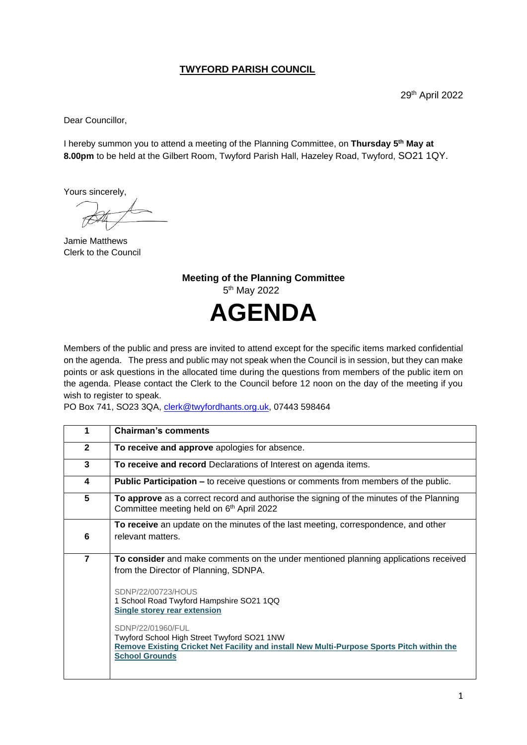## **TWYFORD PARISH COUNCIL**

29th April 2022

Dear Councillor,

I hereby summon you to attend a meeting of the Planning Committee, on **Thursday 5 th May at 8.00pm** to be held at the Gilbert Room, Twyford Parish Hall, Hazeley Road, Twyford, SO21 1QY.

Yours sincerely,

Jamie Matthews Clerk to the Council

**Meeting of the Planning Committee** 5<sup>th</sup> May 2022 **AGENDA**

Members of the public and press are invited to attend except for the specific items marked confidential on the agenda. The press and public may not speak when the Council is in session, but they can make points or ask questions in the allocated time during the questions from members of the public item on the agenda. Please contact the Clerk to the Council before 12 noon on the day of the meeting if you wish to register to speak.

PO Box 741, SO23 3QA, [clerk@twyfordhants.org.uk,](mailto:clerk@twyfordhants.org.uk) 07443 598464

| 1              | <b>Chairman's comments</b>                                                                                                                                                              |
|----------------|-----------------------------------------------------------------------------------------------------------------------------------------------------------------------------------------|
| $\mathbf{2}$   | To receive and approve apologies for absence.                                                                                                                                           |
| 3              | To receive and record Declarations of Interest on agenda items.                                                                                                                         |
| 4              | <b>Public Participation –</b> to receive questions or comments from members of the public.                                                                                              |
| 5              | To approve as a correct record and authorise the signing of the minutes of the Planning<br>Committee meeting held on 6th April 2022                                                     |
|                | To receive an update on the minutes of the last meeting, correspondence, and other                                                                                                      |
| 6              | relevant matters.                                                                                                                                                                       |
| $\overline{7}$ | To consider and make comments on the under mentioned planning applications received<br>from the Director of Planning, SDNPA.                                                            |
|                | SDNP/22/00723/HOUS<br>1 School Road Twyford Hampshire SO21 1QQ<br><b>Single storey rear extension</b>                                                                                   |
|                | SDNP/22/01960/FUL<br>Twyford School High Street Twyford SO21 1NW<br>Remove Existing Cricket Net Facility and install New Multi-Purpose Sports Pitch within the<br><b>School Grounds</b> |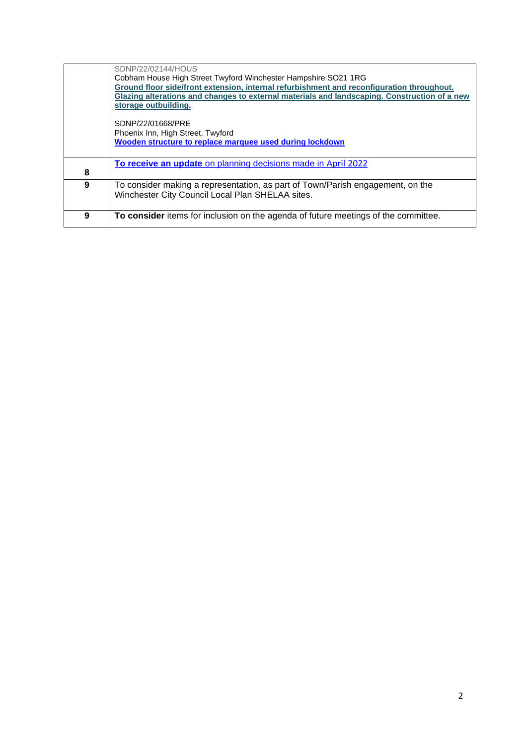|   | SDNP/22/02144/HOUS                                                                           |
|---|----------------------------------------------------------------------------------------------|
|   | Cobham House High Street Twyford Winchester Hampshire SO21 1RG                               |
|   | Ground floor side/front extension, internal refurbishment and reconfiguration throughout.    |
|   | Glazing alterations and changes to external materials and landscaping. Construction of a new |
|   | storage outbuilding.                                                                         |
|   |                                                                                              |
|   | SDNP/22/01668/PRE                                                                            |
|   | Phoenix Inn, High Street, Twyford                                                            |
|   | Wooden structure to replace marquee used during lockdown                                     |
|   |                                                                                              |
|   | To receive an update on planning decisions made in April 2022                                |
| 8 |                                                                                              |
| 9 | To consider making a representation, as part of Town/Parish engagement, on the               |
|   | Winchester City Council Local Plan SHELAA sites.                                             |
|   |                                                                                              |
| 9 | To consider items for inclusion on the agenda of future meetings of the committee.           |
|   |                                                                                              |